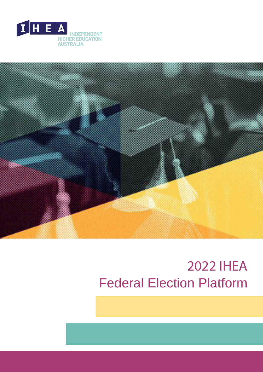



# 2022 IHEA Federal Election Platform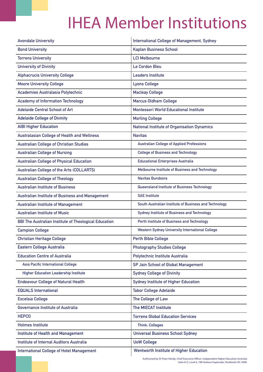# IHEA Member Institutions

| <b>Avondale University</b>                                   | International College of Management, Sydney            |
|--------------------------------------------------------------|--------------------------------------------------------|
| <b>Bond University</b>                                       | <b>Kaplan Business School</b>                          |
| <b>Torrens University</b>                                    | <b>LCI Melbourne</b>                                   |
| <b>University of Divinity</b>                                | Le Cordon Bleu                                         |
| <b>Alphacrucis University College</b>                        | <b>Leaders Institute</b>                               |
| <b>Moore University College</b>                              | <b>Lyons College</b>                                   |
| Academies Australasia Polytechnic                            | <b>Macleay College</b>                                 |
| <b>Academy of Information Technology</b>                     | <b>Marcus Oldham College</b>                           |
| <b>Adelaide Central School of Art</b>                        | <b>Montessori World Educational Institute</b>          |
| <b>Adelaide College of Divinity</b>                          | <b>Morling College</b>                                 |
| <b>AIBI Higher Education</b>                                 | <b>National Institute of Organisation Dynamics</b>     |
| <b>Australasian College of Health and Wellness</b>           | <b>Navitas</b>                                         |
| <b>Australian College of Christian Studies</b>               | <b>Australian College of Applied Professions</b>       |
| <b>Australian College of Nursing</b>                         | <b>College of Business and Technology</b>              |
| <b>Australian College of Physical Education</b>              | <b>Educational Enterprises Australia</b>               |
| <b>Australian College of the Arts (COLLARTS)</b>             | Melbourne Institute of Business and Technology         |
| <b>Australian College of Theology</b>                        | <b>Navitas Bundoora</b>                                |
| <b>Australian Institute of Business</b>                      | Queensland Institute of Business Technology            |
| <b>Australian Institute of Business and Management</b>       | <b>SAE Institute</b>                                   |
| <b>Australian Institute of Management</b>                    | South Australian Institute of Business and Technology  |
| <b>Australian Institute of Music</b>                         | <b>Sydney Institute of Business and Technology</b>     |
| <b>BBI The Australian Institute of Theological Education</b> | Perth Institute of Business and Technology             |
| <b>Campion College</b>                                       | <b>Western Sydney University International College</b> |
| <b>Christian Heritage College</b>                            | <b>Perth Bible College</b>                             |
| <b>Eastern College Australia</b>                             | <b>Photography Studies College</b>                     |
| <b>Education Centre of Australia</b>                         | Polytechnic Institute Australia                        |
| Asia Pacific International College                           | SP Jain School of Global Management                    |
| <b>Higher Education Leadership Institute</b>                 | <b>Sydney College of Divinity</b>                      |
| <b>Endeavour College of Natural Health</b>                   | <b>Sydney Institute of Higher Education</b>            |
| <b>EQUALS International</b>                                  | <b>Tabor College Adelaide</b>                          |
| <b>Excelsia College</b>                                      | The College of Law                                     |
| <b>Governance Institute of Australia</b>                     | <b>The MIECAT Institute</b>                            |
| <b>HEPCO</b>                                                 | <b>Torrens Global Education Services</b>               |
| <b>Holmes Institute</b>                                      | <b>Think: Colleges</b>                                 |
| <b>Institute of Health and Management</b>                    | <b>Universal Business School Sydney</b>                |
| Institute of Internal Auditors Australia                     | <b>UoW College</b>                                     |
| <b>International College of Hotel Management</b>             | <b>Wentworth Institute of Higher Education</b>         |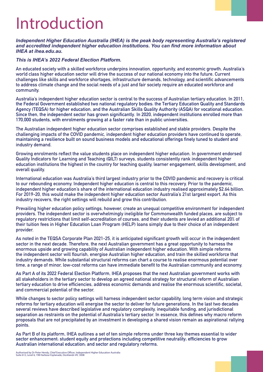# Introduction

*Independent Higher Education Australia (IHEA) is the peak body representing Australia's registered and accredited independent higher education institutions. You can find more information about IHEA at ihea.edu.au.* 

#### *This is IHEA's 2022 Federal Election Platform.*

**An educated society with a skilled workforce underpins innovation, opportunity, and economic growth. Australia's world class higher education sector will drive the success of our national economy into the future. Current challenges like skills and workforce shortages, infrastructure demands, technology, and scientific advancements to address climate change and the social needs of a just and fair society require an educated workforce and community.**

**Australia's independent higher education sector is central to the success of Australian tertiary education. In 2011, the Federal Government established two national regulatory bodies: the Tertiary Education Quality and Standards Agency (TEQSA) for higher education, and the Australian Skills Quality Authority (ASQA) for vocational education. Since then, the independent sector has grown significantly. In 2020, independent institutions enrolled more than 170,000 students, with enrolments growing at a faster rate than in public universities.**

**The Australian independent higher education sector comprises established and stable providers. Despite the challenging impacts of the COVID pandemic, independent higher education providers have continued to operate, industry demand. maintaining a resilience built on sound business models and educational offerings finely tuned to student and**

**Growing enrolments reflect the value students place on independent higher education. In government endorsed Quality Indicators for Learning and Teaching (QILT) surveys, students consistently rank independent higher education institutions the highest in the country for teaching quality, learner engagement, skills development, and overall quality.**

**International education was Australia's third largest industry prior to the COVID pandemic and recovery is critical to our rebounding economy. Independent higher education is central to this recovery. Prior to the pandemic, independent higher education's share of the international education industry realised approximately \$2.64 billion. For 2019-20, this would make the independent higher education sector Australia's 21st largest export. As this industry recovers, the right settings will rebuild and grow this contribution.**

**Prevailing higher education policy settings, however, create an unequal competitive environment for independent providers. The independent sector is overwhelmingly ineligible for Commonwealth funded places, are subject to regulatory restrictions that limit self-accreditation of courses, and their students are levied an additional 20% of their tuition fees in Higher Education Loan Program (HELP) loans simply due to their choice of an independent provider.**

**As noted in the TEQSA Corporate Plan 2021-25, it is anticipated significant growth will occur in the independent sector in the next decade. Therefore, the next Australian government has a great opportunity to harness the enormous upside and growing capability of Australian independent higher education. With simple reforms the independent sector will flourish, energise Australian higher education, and train the skilled workforce that industry demands. While substantial structural reforms can chart a course to realise enormous potential over time, a range of minor, low-cost reforms can have immediate benefit to the Australian community and economy.**

**all stakeholders in the tertiary sector to develop an agreed national strategy for structural reform of Australian tertiary education to drive efficiencies, address economic demands and realise the enormous scientific, societal, and commercial potential of the sector. As Part A of its 2022 Federal Election Platform, IHEA proposes that the next Australian government works with**

**While changes to sector policy settings will harness independent sector capability, long term vision and strategic reforms for tertiary education will energise the sector to deliver for future generations. In the last two decades several reviews have described legislative and regulatory complexity, inequitable funding, and jurisdictional separation as restraints on the potential of Australia's tertiary sector. In essence, this defines why macro reform proposals that are not precipitated by an investment in developing a shared vision remain as aspirational rallying points.**

**As Part B of its platform, IHEA outlines a set of ten simple reforms under three key themes essential to wider sector enhancement: student equity and protections including competitive neutrality; efficiencies to grow Australian international education; and sector and regulatory reforms.**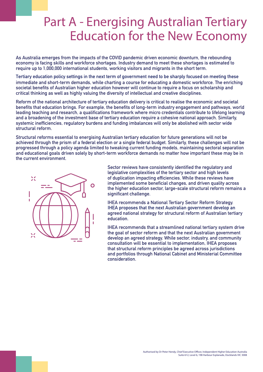## Part A - Energising Australian Tertiary Education for the New Economy

**As Australia emerges from the impacts of the COVID pandemic driven economic downturn, the rebounding economy is facing skills and workforce shortages. Industry demand to meet these shortages is estimated to require up to 1,000,000 international students, working visitors and migrants in the short term.**

**immediate and short-term demands, while charting a course for educating a domestic workforce. The enriching societal benefits of Australian higher education however will continue to require a focus on scholarship and critical thinking as well as highly valuing the diversity of intellectual and creative disciplines. Tertiary education policy settings in the next term of government need to be sharply focused on meeting these**

**Reform of the national architecture of tertiary education delivery is critical to realise the economic and societal benefits that education brings. For example, the benefits of long-term industry engagement and pathways, world leading teaching and research, a qualifications framework where micro credentials contribute to lifelong learning and a broadening of the investment base of tertiary education require a cohesive national approach. Similarly, systemic inefficiencies, regulatory burdens and funding imbalances will only be abolished with sector wide structural reform.**

**Structural reforms essential to energising Australian tertiary education for future generations will not be achieved through the prism of a federal election or a single federal budget. Similarly, these challenges will not be progressed through a policy agenda limited to tweaking current funding models, maintaining sectoral separation and educational goals driven solely by short-term workforce demands no matter how important these may be in the current environment.**



**Sector reviews have consistently identified the regulatory and legislative complexities of the tertiary sector and high levels of duplication impacting efficiencies. While these reviews have implemented some beneficial changes, and driven quality across the higher education sector, large-scale structural reform remains a significant challenge.**

**IHEA recommends a National Tertiary Sector Reform Strategy. agreed national strategy for structural reform of Australian tertiary education. IHEA proposes that the next Australian government develop an**

**IHEA recommends that a streamlined national tertiary system drive the goal of sector reform and that the next Australian government develop an agreed strategy. While sector, industry, and community consultation will be essential to implementation, IHEA proposes that structural reform principles be agreed across jurisdictions and portfolios through National Cabinet and Ministerial Committee consideration.**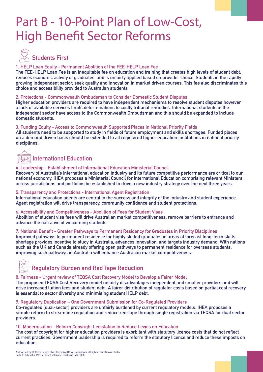## Part B - 10-Point Plan of Low-Cost, High Benefit Sector Reforms



#### **1. HELP Loan Equity - Permanent Abolition of the FEE-HELP Loan Fee**

**reduces economic activity of graduates, and is unfairly applied based on provider choice. Students in the rapidly growing independent sector, seek quality and innovation in market driven courses. This fee also discriminates this choice and accessibility provided to Australian students The FEE-HELP Loan Fee is an inequitable fee on education and training that creates high levels of student debt,**

#### **2. Protections - Commonwealth Ombudsman to Consider Domestic Student Disputes**

**Higher education providers are required to have independent mechanisms to resolve student disputes however a lack of available services limits determinations to costly tribunal remedies. International students in the independent sector have access to the Commonwealth Ombudsman and this should be expanded to include domestic students.**

#### **3. Funding Equity - Access to Commonwealth Supported Places in National Priority Fields**

**All students need to be supported to study in fields of future employment and skills shortages. Funded places on a demand driven basis should be extended to all registered higher education institutions in national priority disciplines.**

#### **International Education** RST0

#### **4. Leadership - Establishment of International Education Ministerial Council**

**Recovery of Australia's international education industry and its future competitive performance are critical to our national economy. IHEA proposes a Ministerial Council for International Education comprising relevant Ministers across jurisdictions and portfolios be established to drive a new industry strategy over the next three years.**

#### **5. Transparency and Protections - International Agent Registration**

**International education agents are central to the success and integrity of the industry and student experience. Agent registration will drive transparency, community confidence and student protections.**

#### **6. Accessibility and Competitiveness - Abolition of Fees for Student Visas**

**Abolition of student visa fees will drive Australian market competitiveness, remove barriers to entrance and advance the narrative of welcoming students.**

#### **7. National Benefit - Greater Pathways to Permanent Residency for Graduates in Priority Disciplines**

**Improved pathways to permanent residence for highly skilled graduates in areas of forecast long-term skills shortage provides incentive to study in Australia, advances innovation, and targets industry demand. With nations such as the UK and Canada already offering open pathways to permanent residence for overseas students, improving such pathways in Australia will enhance Australian market competitiveness.**

### **Regulatory Burden and Red Tape Reduction**

#### **8. Fairness - Urgent review of TEQSA Cost Recovery Model to Develop a Fairer Model**

**The proposed TEQSA Cost Recovery model unfairly disadvantages independent and smaller providers and will drive increased tuition fees and student debt. A fairer distribution of regulator costs based on partial cost recovery is essential to sector diversity and minimising student HELP debt.**

#### **9. Regulatory Duplication – One Government Submission for Co-Regulated Providers**

**Co-regulated (dual-sector) providers are unfairly burdened by current regulatory models. IHEA proposes a simple reform to streamline regulation and reduce red-tape through single registration via TEQSA for dual sector providers.**

#### **10. Modernisation - Reform Copyright Legislation to Reduce Levies on Education**

**The cost of copyright for higher education providers is exorbitant with statutory licence costs that do not reflect current practices. Government leadership is required to reform the statutory licence and reduce these imposts on education.**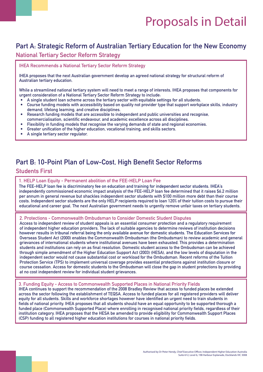## Proposals in Detail

### **Part A: Strategic Reform of Australian Tertiary Education for the New Economy**

#### **National Tertiary Sector Reform Strategy**

**IHEA Recommends a National Tertiary Sector Reform Strategy**

**IHEA proposes that the next Australian government develop an agreed national strategy for structural reform of Australian tertiary education.**

**While a streamlined national tertiary system will need to meet a range of interests, IHEA proposes that components for urgent consideration of a National Tertiary Sector Reform Strategy to include:**

- **• A single student loan scheme across the tertiary sector with equitable settings for all students.**
- **• Course funding models with accessibility based on quality not provider type that support workplace skills, industry demand, lifelong learning, and creative disciplines.**
- **• Research funding models that are accessible to independent and public universities and recognise, commercialisation, scientific endeavour, and academic excellence across all disciplines.**
- **• Flexibility in funding models that recognise the varying demands of state and regional economies.**
- **• Greater unification of the higher education, vocational training, and skills sectors.**
- **• A single tertiary sector regulator.**

### **Part B: 10-Point Plan of Low-Cost, High Benefit Sector Reforms**

#### **Students First**

#### **1. HELP Loan Equity - Permanent abolition of the FEE-HELP Loan Fee**

**independently commissioned economic impact analysis of the FEE-HELP loan fee determined that it raises \$6.2 million per annum in general revenue but shackles independent sector students with \$100 million more debt than their course costs. Independent sector students are the only HELP recipients required to loan 120% of their tuition costs to pursue their educational and career goal. The next Australian government needs to urgently remove unfair taxes on tertiary students. The FEE-HELP loan fee is discriminatory fee on education and training for independent sector students. IHEA's**

#### **2. Protections - Commonwealth Ombudsman to Consider Domestic Student Disputes**

**Access to independent review of student appeals is an essential consumer protection and a regulatory requirement of independent higher education providers. The lack of suitable agencies to determine reviews of institution decisions Overseas Student Act (2000) enables the Commonwealth Ombudsman (the Ombudsman) to review academic and general grievances of international students where institutional avenues have been exhausted. This provides a determination students and institutions can rely on as final resolution. Domestic student access to the Ombudsman can be achieved through simple amendment of the Higher Education Support Act (2003) (HESA), and the low levels of disputation in the independent sector would not cause substantial cost or workload for the Ombudsman. Recent reforms of the Tuition Protection Service (TPS) to implement universal coverage provides essential protections against institution closure or course cessation. Access for domestic students to the Ombudsman will close the gap in student protections by providing at no cost independent review for individual student grievances. however results in tribunal referral being the only available avenue for domestic students. The Education Services for**

#### **3. Funding Equity - Access to Commonwealth Supported Places in National Priority Fields**

**IHEA continues to support the recommendation of the 2008 Bradley Review that access to funded places be extended across the sector following the establishment of TEQSA. Access to funded places for all registered providers will deliver equity for all students. Skills and workforce shortages however have identified an urgent need to train students in fields of national priority. IHEA proposes that all students should have an equal opportunity to be supported thorough a funded place (Commonwealth Supported Place) where enrolling in recognised national priority fields, regardless of their institution category. IHEA proposes that the HESA be amended to provide eligibility for Commonwealth Support Places (CSP) funding to all registered higher education institutions for courses in national priority fields.**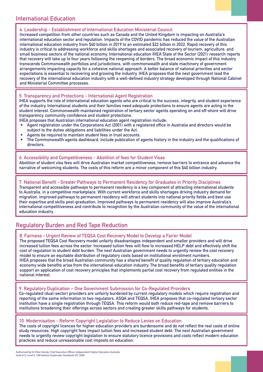#### **International Education**

**4. Leadership - Establishment of International Education Ministerial Council**

**Increased competition from other countries such as Canada and the United Kingdom is impacting on Australia's international education sector and reputation. Impacts of the COVID pandemic has reduced the value of the Australian international education industry from \$40 billion in 2019 to an estimated \$22 billion in 2022. Rapid recovery of this industry is critical to addressing workforce and skills shortages and associated recovery of tourism, agriculture, and small business sectors of the national economy. International education IHEA State of the Sector (2021) research reports that recovery will take up to four years following the reopening of borders. The broad economic impact of this industry transcends Commonwealth portfolios and jurisdictions, with commonwealth and state machinery of government arrangements impacting capacity for a cohesive national approach. A better balance of national priorities and sector expectations is essential to recovering and growing the industry. IHEA proposes that the next government lead the recovery of the international education industry with a well-defined industry strategy developed through National Cabinet and Ministerial Committee processes.**

**5. Transparency and Protections - International Agent Registration**

**IHEA supports the role of international education agents who are critical to the success, integrity, and student experience of the industry. International students and their families need adequate protections to ensure agents are acting in the student interest. Commonwealth maintained registration of tertiary sector agents operating on and off-shore will drive transparency, community confidence and student protections.** 

**IHEA proposes that Australian international education agent registration include:**

- **• Agent registration under the Corporations Act (2001) with a registered office in Australia and directors would be subject to the duties obligations and liabilities under the Act.**
- **• Agents be required to maintain student fees in trust accounts.**
- **• The Commonwealth agents dashboard, include publication of agents history in the industry and the qualifications of directors.**

**6. Accessibility and Competitiveness - Abolition of fees for Student Visas Abolition of student visa fees will drive Australian market competitiveness, remove barriers to entrance and advance the narrative of welcoming students. The costs of this reform are a minor component of this \$40 billion industry.**

**7. National Benefit - Greater Pathways to Permanent Residency for Graduates in Priority Disciplines Transparent and accessible pathways to permanent residency is a key component of attracting international students to Australia, in a competitive marketplace. With current workforce and skills shortages driving industry demand for migration, improved pathways to permanent residency will attract students into national priority fields and best use their expertise and skills post-graduation. Improved pathways to permanent residency will also improve Australia's international competitiveness and contribute to recognition by the Australian community of the value of the international education industry.**

#### **Regulatory Burden and Red Tape Reduction**

#### **8. Fairness - Urgent Review of TEQSA Cost Recovery Model to Develop a Fairer Model**

**The proposed TEQSA Cost Recovery model unfairly disadvantages independent and smaller providers and will drive increased tuition fees across the sector. Increased tuition fees will flow to increased HELP debt and effectively shift the cost of regulation to student debt burden. The next Australian government needs to urgently review the cost recovery model to ensure an equitable distribution of regulatory costs based on institutional enrolment numbers. IHEA proposes that the broad Australian community has a shared benefit of quality regulation of tertiary education and economy wide benefits arise from the international education industry. The broad benefits of tertiary quality regulation support an application of cost recovery principles that implements partial cost recovery from regulated entities in the national interest.**

**9. Regulatory Duplication – One Government Submission for Co-Regulated Providers**

**Co-regulated (dual-sector) providers are unfairly burdened by current regulatory models which require registration and reporting of the same information to two regulators, ASQA and TEQSA. IHEA proposes that co-regulated tertiary sector institution have a single registration through TEQSA. This reform would both reduce red-tape and remove barriers to institutions broadening their offerings across sectors and creating greater skills pathways for students.**

#### **10. Modernisation - Reform Copyright Legislation to Reduce Levies on Education**

**The costs of copyright licences for higher education providers are burdensome and do not reflect the real costs of online study resources. High copyright fees impact tuition fees and increased student debt. The next Australian government needs to urgently review copyright legislation to ensure statutory licence provisions and costs reflect modern education practices and reduce unreasonable cost imposts on education.**